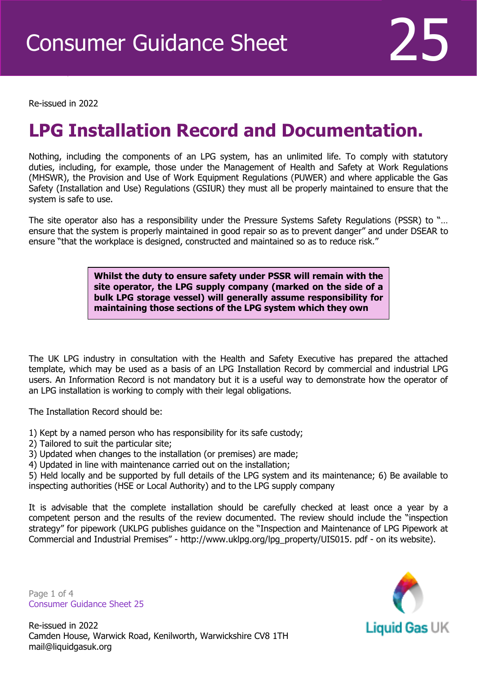Re-issued in 2022

Revised April 2016

## **LPG Installation Record and Documentation.**

Nothing, including the components of an LPG system, has an unlimited life. To comply with statutory duties, including, for example, those under the Management of Health and Safety at Work Regulations (MHSWR), the Provision and Use of Work Equipment Regulations (PUWER) and where applicable the Gas Safety (Installation and Use) Regulations (GSIUR) they must all be properly maintained to ensure that the system is safe to use.

The site operator also has a responsibility under the Pressure Systems Safety Regulations (PSSR) to "... ensure that the system is properly maintained in good repair so as to prevent danger" and under DSEAR to ensure "that the workplace is designed, constructed and maintained so as to reduce risk."

> **Whilst the duty to ensure safety under PSSR will remain with the site operator, the LPG supply company (marked on the side of a bulk LPG storage vessel) will generally assume responsibility for maintaining those sections of the LPG system which they own**

The UK LPG industry in consultation with the Health and Safety Executive has prepared the attached template, which may be used as a basis of an LPG Installation Record by commercial and industrial LPG users. An Information Record is not mandatory but it is a useful way to demonstrate how the operator of an LPG installation is working to comply with their legal obligations.

The Installation Record should be:

1) Kept by a named person who has responsibility for its safe custody;

2) Tailored to suit the particular site;

3) Updated when changes to the installation (or premises) are made;

4) Updated in line with maintenance carried out on the installation;

5) Held locally and be supported by full details of the LPG system and its maintenance; 6) Be available to inspecting authorities (HSE or Local Authority) and to the LPG supply company

It is advisable that the complete installation should be carefully checked at least once a year by a competent person and the results of the review documented. The review should include the "inspection strategy" for pipework (UKLPG publishes guidance on the "Inspection and Maintenance of LPG Pipework at Commercial and Industrial Premises" - http://www.uklpg.org/lpg\_property/UIS015. pdf - on its website).

Page 1 of 4 Consumer Guidance Sheet 25



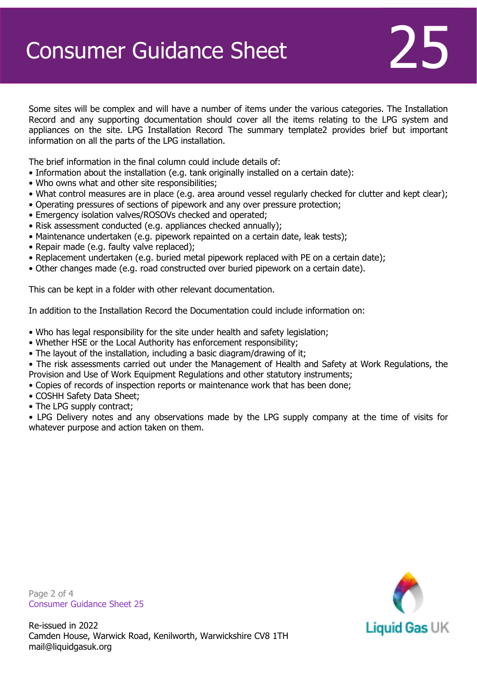## **Consumer Guidance Sheet**

Some sites will be complex and will have a number of items under the various categories. The Installation Record and any supporting documentation should cover all the items relating to the LPG system and appliances on the site. LPG Installation Record The summary template2 provides brief but important information on all the parts of the LPG installation.

The brief information in the final column could include details of:

- Information about the installation (e.g. tank originally installed on a certain date):
- Who owns what and other site responsibilities;
- What control measures are in place (e.g. area around vessel regularly checked for clutter and kept clear);
- Operating pressures of sections of pipework and any over pressure protection;
- Emergency isolation valves/ROSOVs checked and operated;
- Risk assessment conducted (e.g. appliances checked annually);
- Maintenance undertaken (e.g. pipework repainted on a certain date, leak tests);
- Repair made (e.g. faulty valve replaced);
- Replacement undertaken (e.g. buried metal pipework replaced with PE on a certain date);
- Other changes made (e.g. road constructed over buried pipework on a certain date).

This can be kept in a folder with other relevant documentation.

In addition to the Installation Record the Documentation could include information on:

- Who has legal responsibility for the site under health and safety legislation;
- Whether HSE or the Local Authority has enforcement responsibility;
- The layout of the installation, including a basic diagram/drawing of it;

• The risk assessments carried out under the Management of Health and Safety at Work Regulations, the Provision and Use of Work Equipment Regulations and other statutory instruments;

- Copies of records of inspection reports or maintenance work that has been done;
- COSHH Safety Data Sheet;
- The LPG supply contract;

• LPG Delivery notes and any observations made by the LPG supply company at the time of visits for whatever purpose and action taken on them.

Liquid Gas UK

Page 2 of 4 Consumer Guidance Sheet 25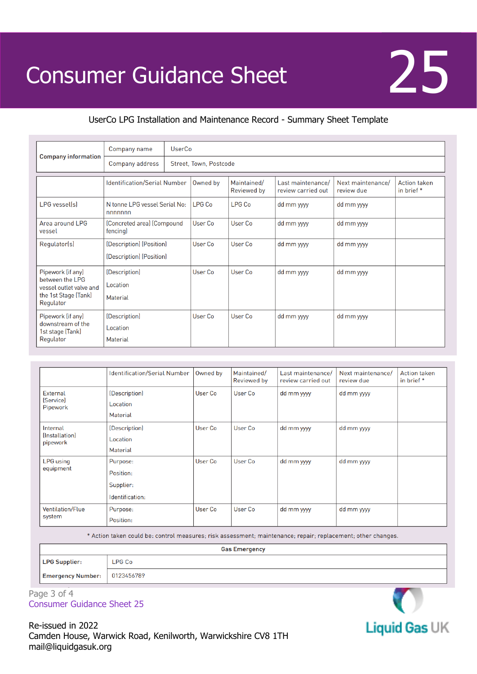## Consumer Guidance Sheet 25

## UserCo LPG Installation and Maintenance Record - Summary Sheet Template

| <b>Company information</b>                                                                           | Company name                                         | <b>UserCo</b> |                        |                            |                                         |                                 |                                   |  |
|------------------------------------------------------------------------------------------------------|------------------------------------------------------|---------------|------------------------|----------------------------|-----------------------------------------|---------------------------------|-----------------------------------|--|
|                                                                                                      | Company address                                      |               | Street, Town, Postcode |                            |                                         |                                 |                                   |  |
|                                                                                                      | <b>Identification/Serial Number</b>                  |               | Owned by               | Maintained/<br>Reviewed by | Last maintenance/<br>review carried out | Next maintenance/<br>review due | <b>Action taken</b><br>in brief * |  |
| LPG vesselssl                                                                                        | N tonne LPG vessel Serial No:<br>nnnnnnn             |               | <b>LPG Co</b>          | LPG Co                     | dd mm yyyy                              | dd mm yyyy                      |                                   |  |
| Area around LPG<br>vessel                                                                            | (Concreted area) (Compound<br>fencing)               |               | User Co                | User Co                    | dd mm yyyy                              | dd mm yyyy                      |                                   |  |
| Regulator(s)                                                                                         | (Description) (Position)<br>(Description) (Position) |               | User Co                | User Co                    | dd mm yyyy                              | dd mm yyyy                      |                                   |  |
| Pipework (if any)<br>between the LPG<br>vessel outlet valve and<br>the 1st Stage (Tank)<br>Regulator | (Description)<br>Location<br><b>Material</b>         |               | User Co                | User Co                    | dd mm yyyy                              | dd mm yyyy                      |                                   |  |
| Pipework (if any)<br>downstream of the<br>1st stage (Tank)<br>Regulator                              | (Description)<br>Location<br><b>Material</b>         |               | <b>User Co</b>         | User Co                    | dd mm yyyy                              | dd mm yyyy                      |                                   |  |

|                                          | <b>Identification/Serial Number</b>                   | Owned by       | Maintained/<br><b>Reviewed by</b> | Last maintenance/<br>review carried out | Next maintenance/<br>review due | <b>Action taken</b><br>in brief * |
|------------------------------------------|-------------------------------------------------------|----------------|-----------------------------------|-----------------------------------------|---------------------------------|-----------------------------------|
| <b>External</b><br>(Service)<br>Pipework | (Description)<br>Location<br><b>Material</b>          | User Co        | User Co                           | dd mm yyyy                              | dd mm yyyy                      |                                   |
| Internal<br>(Installation)<br>pipework   | (Description)<br>Location<br><b>Material</b>          | User Co        | User Co                           | dd mm yyyy                              | dd mm yyyy                      |                                   |
| <b>LPG</b> using<br>equipment            | Purpose:<br>Position:<br>Supplier:<br>Identification: | User Co        | User Co                           | dd mm yyyy                              | dd mm yyyy                      |                                   |
| <b>Ventilation/Flue</b><br>system        | Purpose:<br>Position:                                 | <b>User Co</b> | User Co                           | dd mm yyyy                              | dd mm yyyy                      |                                   |

\* Action taken could be: control measures; risk assessment; maintenance; repair; replacement; other changes.

| <b>Gas Emergency</b>         |        |  |  |  |
|------------------------------|--------|--|--|--|
| LPG Supplier:                | LPG Co |  |  |  |
| Emergency Number: 0123456789 |        |  |  |  |

Page 3 of 4 Consumer Guidance Sheet 25